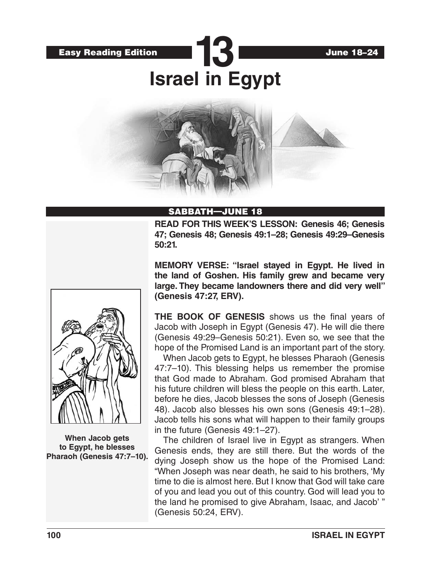

# SABBATH—JUNE 18

**READ FOR THIS WEEK'S LESSON: Genesis 46; Genesis 47; Genesis 48; Genesis 49:1–28; Genesis 49:29–Genesis 50:21.**

**MEMORY VERSE: "Israel stayed in Egypt. He lived in the land of Goshen. His family grew and became very large. They became landowners there and did very well" (Genesis 47:27, ERV).**

**THE BOOK OF GENESIS** shows us the final years of Jacob with Joseph in Egypt (Genesis 47). He will die there (Genesis 49:29–Genesis 50:21). Even so, we see that the hope of the Promised Land is an important part of the story.

When Jacob gets to Egypt, he blesses Pharaoh (Genesis 47:7–10). This blessing helps us remember the promise that God made to Abraham. God promised Abraham that his future children will bless the people on this earth. Later, before he dies, Jacob blesses the sons of Joseph (Genesis 48). Jacob also blesses his own sons (Genesis 49:1–28). Jacob tells his sons what will happen to their family groups in the future (Genesis 49:1–27).

The children of Israel live in Egypt as strangers. When Genesis ends, they are still there. But the words of the dying Joseph show us the hope of the Promised Land: "When Joseph was near death, he said to his brothers, 'My time to die is almost here. But I know that God will take care of you and lead you out of this country. God will lead you to the land he promised to give Abraham, Isaac, and Jacob' " (Genesis 50:24, ERV).



**When Jacob gets to Egypt, he blesses Pharaoh (Genesis 47:7–10).**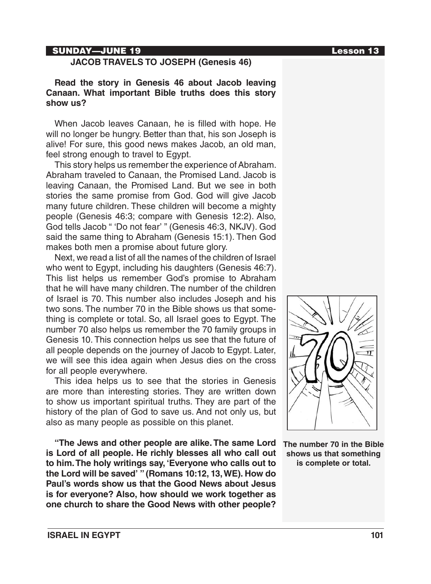#### SUNDAY—JUNE 19 Lesson 13

#### **JACOB TRAVELS TO JOSEPH (Genesis 46)**

### **Read the story in Genesis 46 about Jacob leaving Canaan. What important Bible truths does this story show us?**

When Jacob leaves Canaan, he is filled with hope. He will no longer be hungry. Better than that, his son Joseph is alive! For sure, this good news makes Jacob, an old man, feel strong enough to travel to Egypt.

This story helps us remember the experience of Abraham. Abraham traveled to Canaan, the Promised Land. Jacob is leaving Canaan, the Promised Land. But we see in both stories the same promise from God. God will give Jacob many future children. These children will become a mighty people (Genesis 46:3; compare with Genesis 12:2). Also, God tells Jacob " 'Do not fear' " (Genesis 46:3, NKJV). God said the same thing to Abraham (Genesis 15:1). Then God makes both men a promise about future glory.

Next, we read a list of all the names of the children of Israel who went to Egypt, including his daughters (Genesis 46:7). This list helps us remember God's promise to Abraham that he will have many children. The number of the children of Israel is 70. This number also includes Joseph and his two sons. The number 70 in the Bible shows us that something is complete or total. So, all Israel goes to Egypt. The number 70 also helps us remember the 70 family groups in Genesis 10. This connection helps us see that the future of all people depends on the journey of Jacob to Egypt. Later, we will see this idea again when Jesus dies on the cross for all people everywhere.

This idea helps us to see that the stories in Genesis are more than interesting stories. They are written down to show us important spiritual truths. They are part of the history of the plan of God to save us. And not only us, but also as many people as possible on this planet.

**"The Jews and other people are alike. The same Lord is Lord of all people. He richly blesses all who call out to him. The holy writings say, 'Everyone who calls out to the Lord will be saved' " (Romans 10:12, 13, WE). How do Paul's words show us that the Good News about Jesus is for everyone? Also, how should we work together as one church to share the Good News with other people?**



**The number 70 in the Bible shows us that something is complete or total.**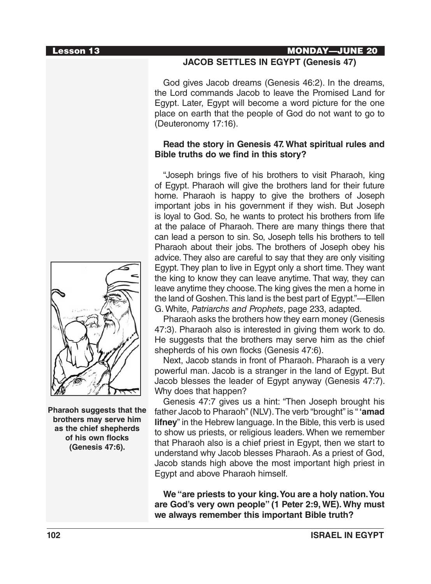**Pharaoh suggests that the brothers may serve him as the chief shepherds of his own flocks (Genesis 47:6).**

#### Lesson 13 MONDAY—JUNE 20

## **JACOB SETTLES IN EGYPT (Genesis 47)**

God gives Jacob dreams (Genesis 46:2). In the dreams, the Lord commands Jacob to leave the Promised Land for Egypt. Later, Egypt will become a word picture for the one place on earth that the people of God do not want to go to (Deuteronomy 17:16).

## **Read the story in Genesis 47. What spiritual rules and Bible truths do we find in this story?**

"Joseph brings five of his brothers to visit Pharaoh, king of Egypt. Pharaoh will give the brothers land for their future home. Pharaoh is happy to give the brothers of Joseph important jobs in his government if they wish. But Joseph is loyal to God. So, he wants to protect his brothers from life at the palace of Pharaoh. There are many things there that can lead a person to sin. So, Joseph tells his brothers to tell Pharaoh about their jobs. The brothers of Joseph obey his advice. They also are careful to say that they are only visiting Egypt. They plan to live in Egypt only a short time. They want the king to know they can leave anytime. That way, they can leave anytime they choose. The king gives the men a home in the land of Goshen. This land is the best part of Egypt."—Ellen G. White, *Patriarchs and Prophets*, page 233, adapted.

Pharaoh asks the brothers how they earn money (Genesis 47:3). Pharaoh also is interested in giving them work to do. He suggests that the brothers may serve him as the chief shepherds of his own flocks (Genesis 47:6).

Next, Jacob stands in front of Pharaoh. Pharaoh is a very powerful man. Jacob is a stranger in the land of Egypt. But Jacob blesses the leader of Egypt anyway (Genesis 47:7). Why does that happen?

Genesis 47:7 gives us a hint: "Then Joseph brought his father Jacob to Pharaoh" (NLV). The verb "brought" is "**'amad lifney**" in the Hebrew language. In the Bible, this verb is used to show us priests, or religious leaders. When we remember that Pharaoh also is a chief priest in Egypt, then we start to understand why Jacob blesses Pharaoh. As a priest of God, Jacob stands high above the most important high priest in Egypt and above Pharaoh himself.

**We "are priests to your king. You are a holy nation. You are God's very own people" (1 Peter 2:9, WE). Why must we always remember this important Bible truth?**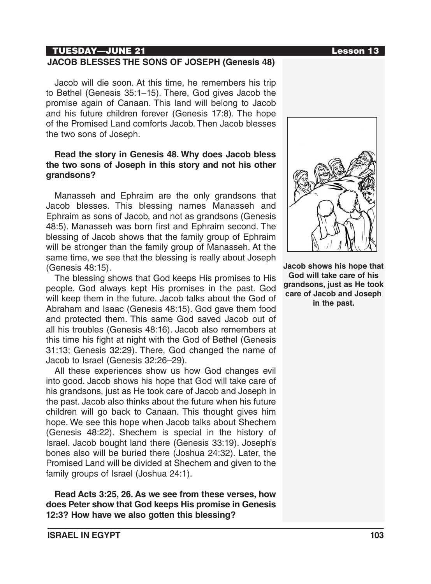## TUESDAY—JUNE 21 Lesson 13

### **JACOB BLESSES THE SONS OF JOSEPH (Genesis 48)**

Jacob will die soon. At this time, he remembers his trip to Bethel (Genesis 35:1–15). There, God gives Jacob the promise again of Canaan. This land will belong to Jacob and his future children forever (Genesis 17:8). The hope of the Promised Land comforts Jacob. Then Jacob blesses the two sons of Joseph.

### **Read the story in Genesis 48. Why does Jacob bless the two sons of Joseph in this story and not his other grandsons?**

Manasseh and Ephraim are the only grandsons that Jacob blesses. This blessing names Manasseh and Ephraim as sons of Jacob, and not as grandsons (Genesis 48:5). Manasseh was born first and Ephraim second. The blessing of Jacob shows that the family group of Ephraim will be stronger than the family group of Manasseh. At the same time, we see that the blessing is really about Joseph (Genesis 48:15).

The blessing shows that God keeps His promises to His people. God always kept His promises in the past. God will keep them in the future. Jacob talks about the God of Abraham and Isaac (Genesis 48:15). God gave them food and protected them. This same God saved Jacob out of all his troubles (Genesis 48:16). Jacob also remembers at this time his fight at night with the God of Bethel (Genesis 31:13; Genesis 32:29). There, God changed the name of Jacob to Israel (Genesis 32:26–29).

All these experiences show us how God changes evil into good. Jacob shows his hope that God will take care of his grandsons, just as He took care of Jacob and Joseph in the past. Jacob also thinks about the future when his future children will go back to Canaan. This thought gives him hope. We see this hope when Jacob talks about Shechem (Genesis 48:22). Shechem is special in the history of Israel. Jacob bought land there (Genesis 33:19). Joseph's bones also will be buried there (Joshua 24:32). Later, the Promised Land will be divided at Shechem and given to the family groups of Israel (Joshua 24:1).

**Read Acts 3:25, 26. As we see from these verses, how does Peter show that God keeps His promise in Genesis 12:3? How have we also gotten this blessing?**



**Jacob shows his hope that God will take care of his grandsons, just as He took care of Jacob and Joseph in the past.**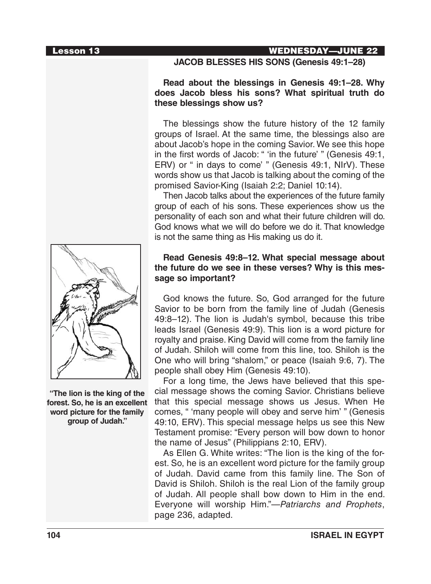## Lesson 13 WEDNESDAY—JUNE 22

**JACOB BLESSES HIS SONS (Genesis 49:1–28)**

### **Read about the blessings in Genesis 49:1–28. Why does Jacob bless his sons? What spiritual truth do these blessings show us?**

The blessings show the future history of the 12 family groups of Israel. At the same time, the blessings also are about Jacob's hope in the coming Savior. We see this hope in the first words of Jacob: " 'in the future' " (Genesis 49:1, ERV) or " in days to come' " (Genesis 49:1, NIrV). These words show us that Jacob is talking about the coming of the promised Savior-King (Isaiah 2:2; Daniel 10:14).

Then Jacob talks about the experiences of the future family group of each of his sons. These experiences show us the personality of each son and what their future children will do. God knows what we will do before we do it. That knowledge is not the same thing as His making us do it.

## **Read Genesis 49:8–12. What special message about the future do we see in these verses? Why is this message so important?**

God knows the future. So, God arranged for the future Savior to be born from the family line of Judah (Genesis 49:8–12). The lion is Judah's symbol, because this tribe leads Israel (Genesis 49:9). This lion is a word picture for royalty and praise. King David will come from the family line of Judah. Shiloh will come from this line, too. Shiloh is the One who will bring "shalom," or peace (Isaiah 9:6, 7). The people shall obey Him (Genesis 49:10).

For a long time, the Jews have believed that this special message shows the coming Savior. Christians believe that this special message shows us Jesus. When He comes, " 'many people will obey and serve him' " (Genesis 49:10, ERV). This special message helps us see this New Testament promise: "Every person will bow down to honor the name of Jesus" (Philippians 2:10, ERV).

As Ellen G. White writes: "The lion is the king of the forest. So, he is an excellent word picture for the family group of Judah. David came from this family line. The Son of David is Shiloh. Shiloh is the real Lion of the family group of Judah. All people shall bow down to Him in the end. Everyone will worship Him."—*Patriarchs and Prophets*, page 236, adapted.



**"The lion is the king of the forest. So, he is an excellent word picture for the family group of Judah."**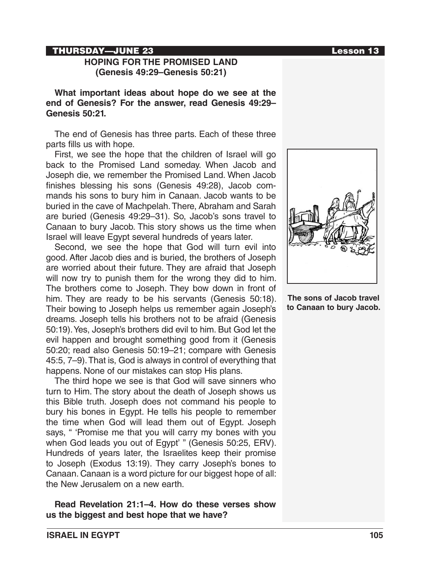#### THURSDAY—JUNE 23

## **HOPING FOR THE PROMISED LAND (Genesis 49:29–Genesis 50:21)**

**What important ideas about hope do we see at the end of Genesis? For the answer, read Genesis 49:29– Genesis 50:21.**

The end of Genesis has three parts. Each of these three parts fills us with hope.

First, we see the hope that the children of Israel will go back to the Promised Land someday. When Jacob and Joseph die, we remember the Promised Land. When Jacob finishes blessing his sons (Genesis 49:28), Jacob commands his sons to bury him in Canaan. Jacob wants to be buried in the cave of Machpelah. There, Abraham and Sarah are buried (Genesis 49:29–31). So, Jacob's sons travel to Canaan to bury Jacob. This story shows us the time when Israel will leave Egypt several hundreds of years later.

Second, we see the hope that God will turn evil into good. After Jacob dies and is buried, the brothers of Joseph are worried about their future. They are afraid that Joseph will now try to punish them for the wrong they did to him. The brothers come to Joseph. They bow down in front of him. They are ready to be his servants (Genesis 50:18). Their bowing to Joseph helps us remember again Joseph's dreams. Joseph tells his brothers not to be afraid (Genesis 50:19). Yes, Joseph's brothers did evil to him. But God let the evil happen and brought something good from it (Genesis 50:20; read also Genesis 50:19–21; compare with Genesis 45:5, 7–9). That is, God is always in control of everything that happens. None of our mistakes can stop His plans.

The third hope we see is that God will save sinners who turn to Him. The story about the death of Joseph shows us this Bible truth. Joseph does not command his people to bury his bones in Egypt. He tells his people to remember the time when God will lead them out of Egypt. Joseph says, " 'Promise me that you will carry my bones with you when God leads you out of Egypt' " (Genesis 50:25, ERV). Hundreds of years later, the Israelites keep their promise to Joseph (Exodus 13:19). They carry Joseph's bones to Canaan. Canaan is a word picture for our biggest hope of all: the New Jerusalem on a new earth.

**Read Revelation 21:1–4. How do these verses show us the biggest and best hope that we have?**



**The sons of Jacob travel to Canaan to bury Jacob.**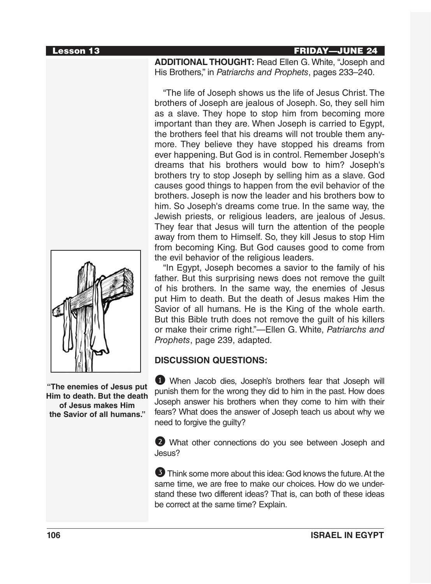#### Lesson 13 FRIDAY—JUNE 24

**ADDITIONAL THOUGHT:** Read Ellen G. White, "Joseph and His Brothers," in *Patriarchs and Prophets*, pages 233–240.

"The life of Joseph shows us the life of Jesus Christ. The brothers of Joseph are jealous of Joseph. So, they sell him as a slave. They hope to stop him from becoming more important than they are. When Joseph is carried to Egypt, the brothers feel that his dreams will not trouble them anymore. They believe they have stopped his dreams from ever happening. But God is in control. Remember Joseph's dreams that his brothers would bow to him? Joseph's brothers try to stop Joseph by selling him as a slave. God causes good things to happen from the evil behavior of the brothers. Joseph is now the leader and his brothers bow to him. So Joseph's dreams come true. In the same way, the Jewish priests, or religious leaders, are jealous of Jesus. They fear that Jesus will turn the attention of the people away from them to Himself. So, they kill Jesus to stop Him from becoming King. But God causes good to come from the evil behavior of the religious leaders.

"In Egypt, Joseph becomes a savior to the family of his father. But this surprising news does not remove the guilt of his brothers. In the same way, the enemies of Jesus put Him to death. But the death of Jesus makes Him the Savior of all humans. He is the King of the whole earth. But this Bible truth does not remove the guilt of his killers or make their crime right."—Ellen G. White, *Patriarchs and Prophets*, page 239, adapted.

# **DISCUSSION QUESTIONS:**

1 When Jacob dies, Joseph's brothers fear that Joseph will punish them for the wrong they did to him in the past. How does Joseph answer his brothers when they come to him with their fears? What does the answer of Joseph teach us about why we need to forgive the guilty?

2 What other connections do you see between Joseph and Jesus?

3 Think some more about this idea: God knows the future. At the same time, we are free to make our choices. How do we understand these two different ideas? That is, can both of these ideas be correct at the same time? Explain.



**"The enemies of Jesus put Him to death. But the death of Jesus makes Him the Savior of all humans."**